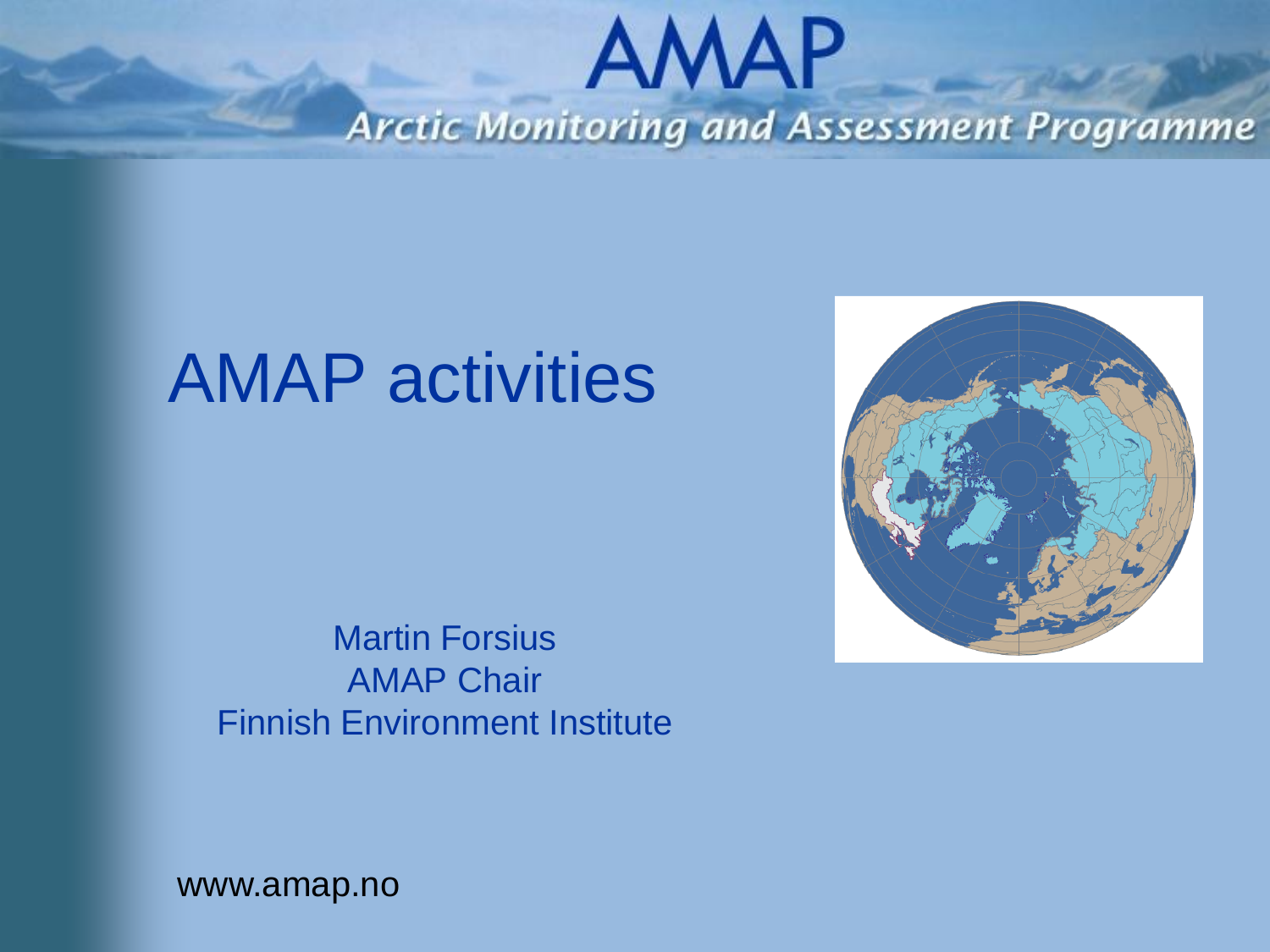#### **AMAP Arctic Monitoring and Assessment Programme**

#### AMAP activities

Martin Forsius AMAP Chair Finnish Environment Institute

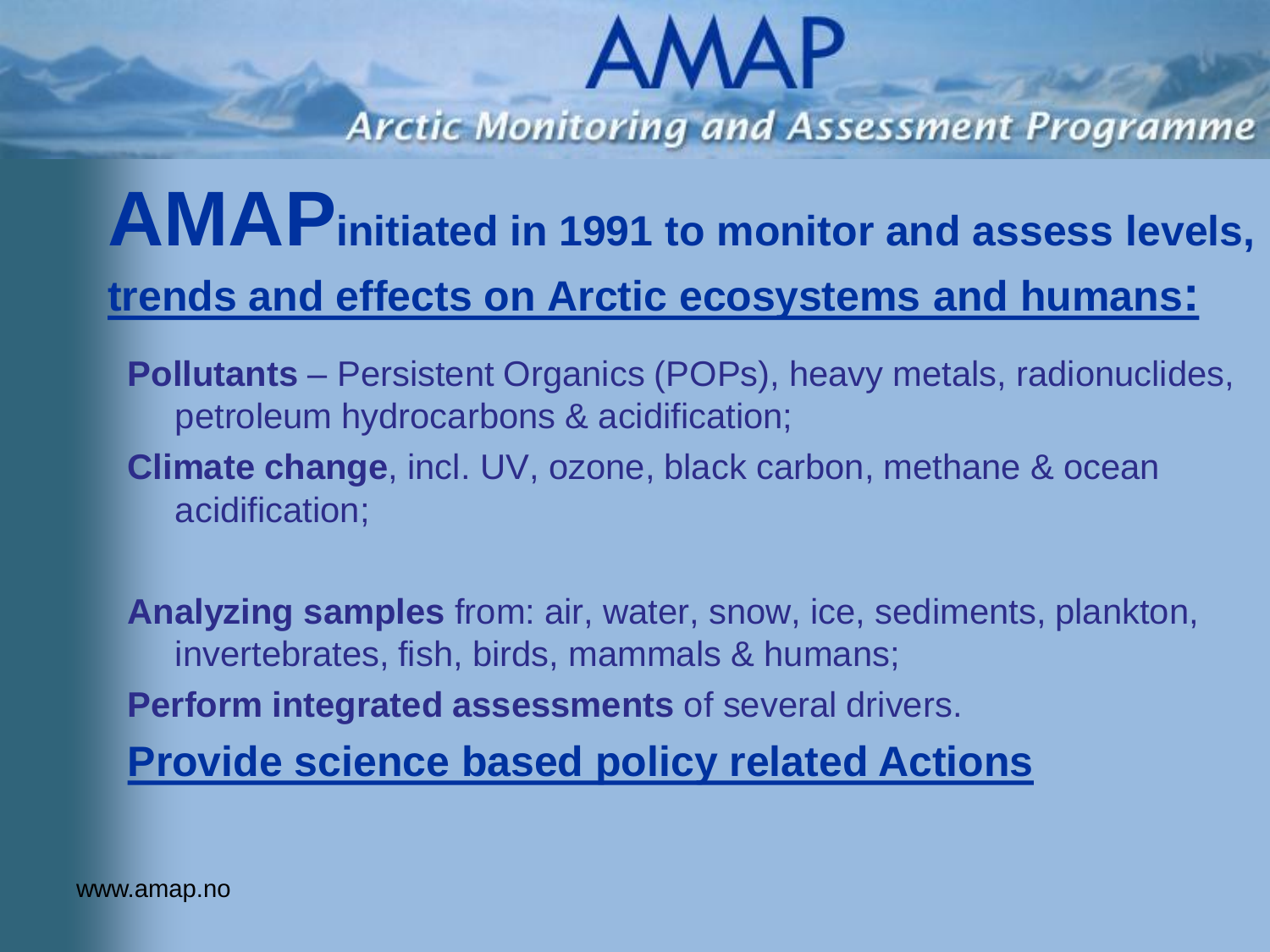**Arctic Monitoring and Assessment Programme** 

#### **AMAPinitiated in 1991 to monitor and assess levels, trends and effects on Arctic ecosystems and humans:**

- **Pollutants**  Persistent Organics (POPs), heavy metals, radionuclides, petroleum hydrocarbons & acidification;
- **Climate change**, incl. UV, ozone, black carbon, methane & ocean acidification;

**Analyzing samples** from: air, water, snow, ice, sediments, plankton, invertebrates, fish, birds, mammals & humans;

**Perform integrated assessments** of several drivers.

**Provide science based policy related Actions**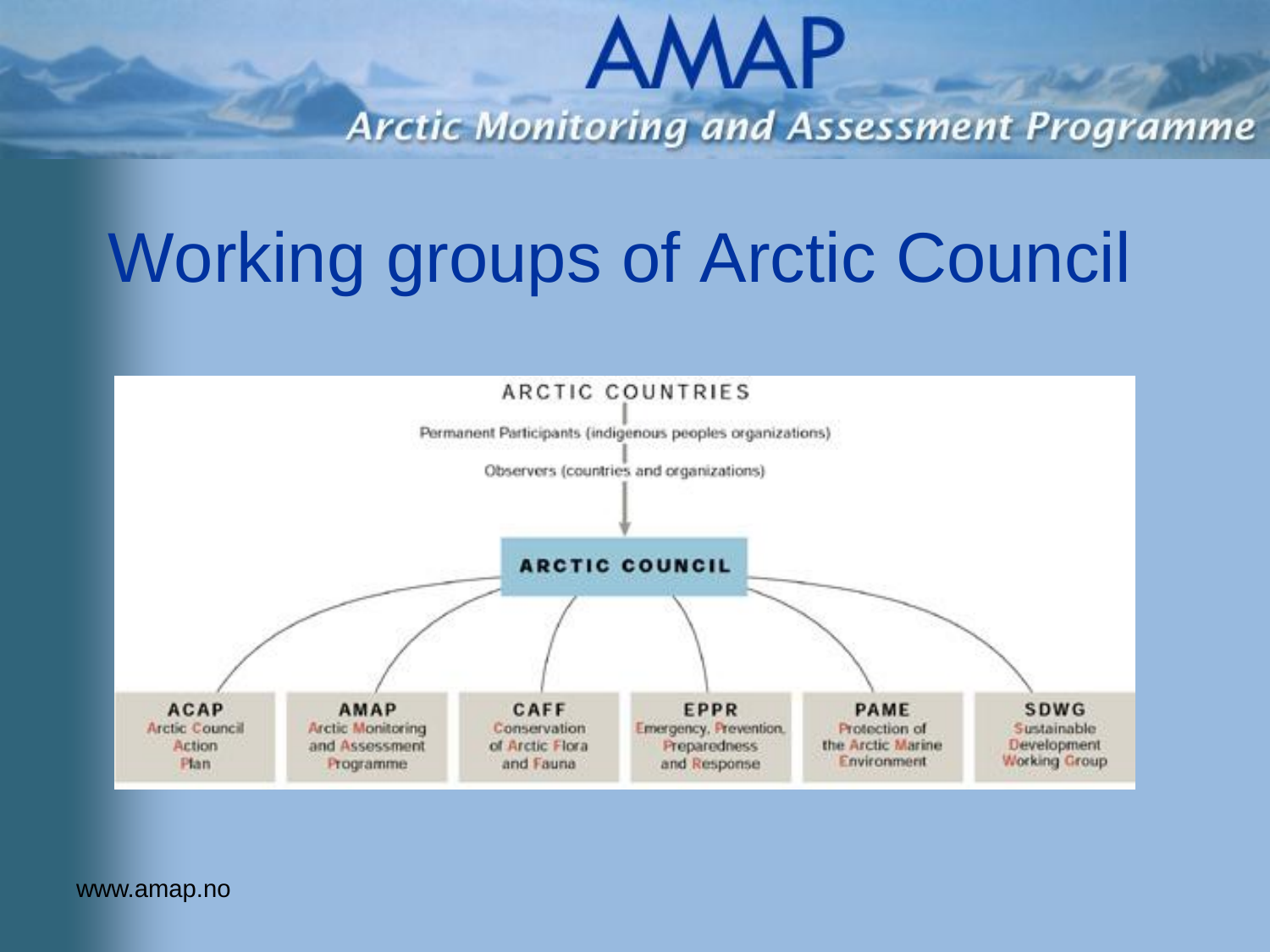**Arctic Monitoring and Assessment Programme** 

### Working groups of Arctic Council

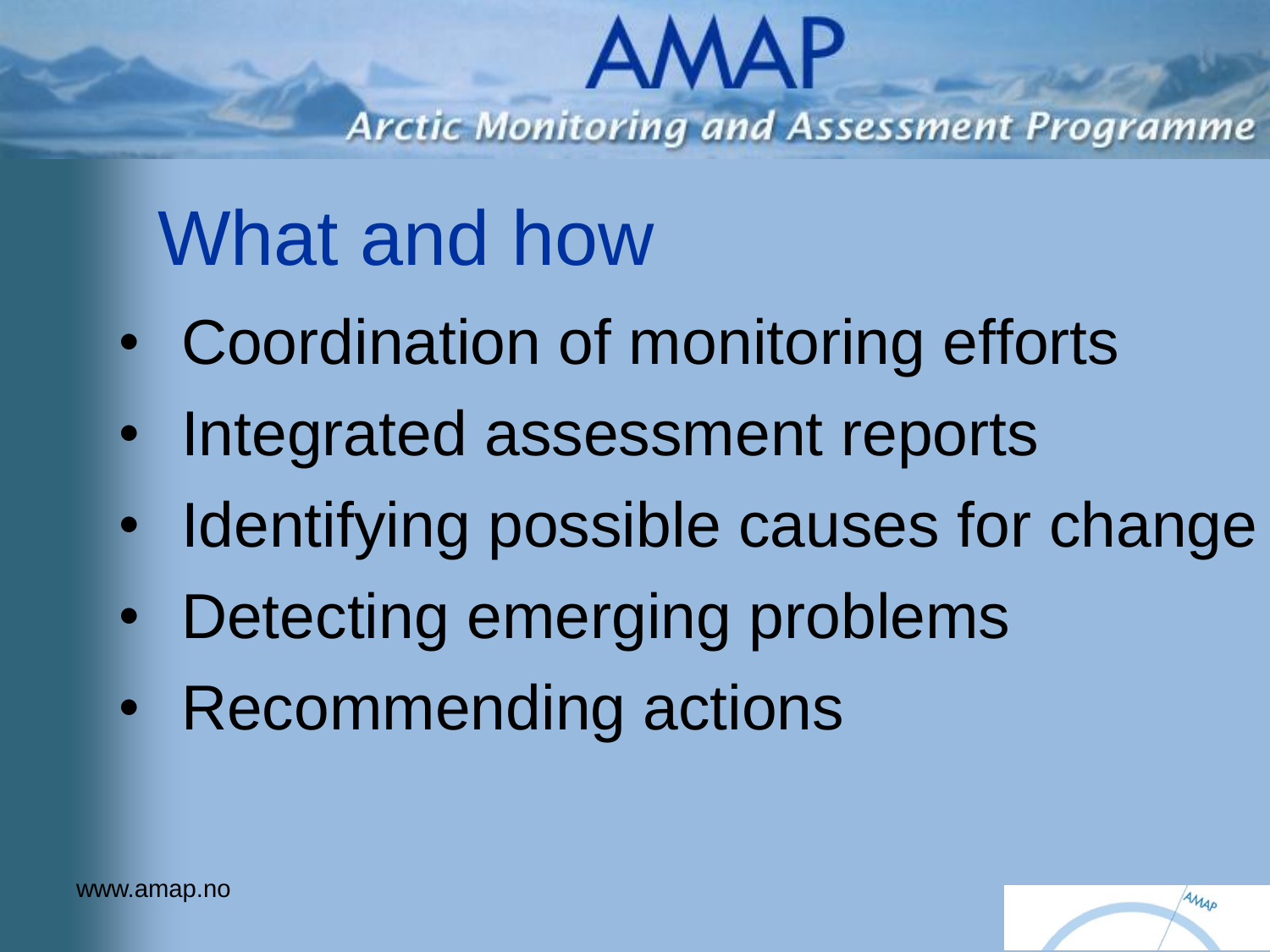**Arctic Monitoring and Assessment Programme** 

## What and how

- Coordination of monitoring efforts
- Integrated assessment reports
- Identifying possible causes for change
- Detecting emerging problems
- Recommending actions

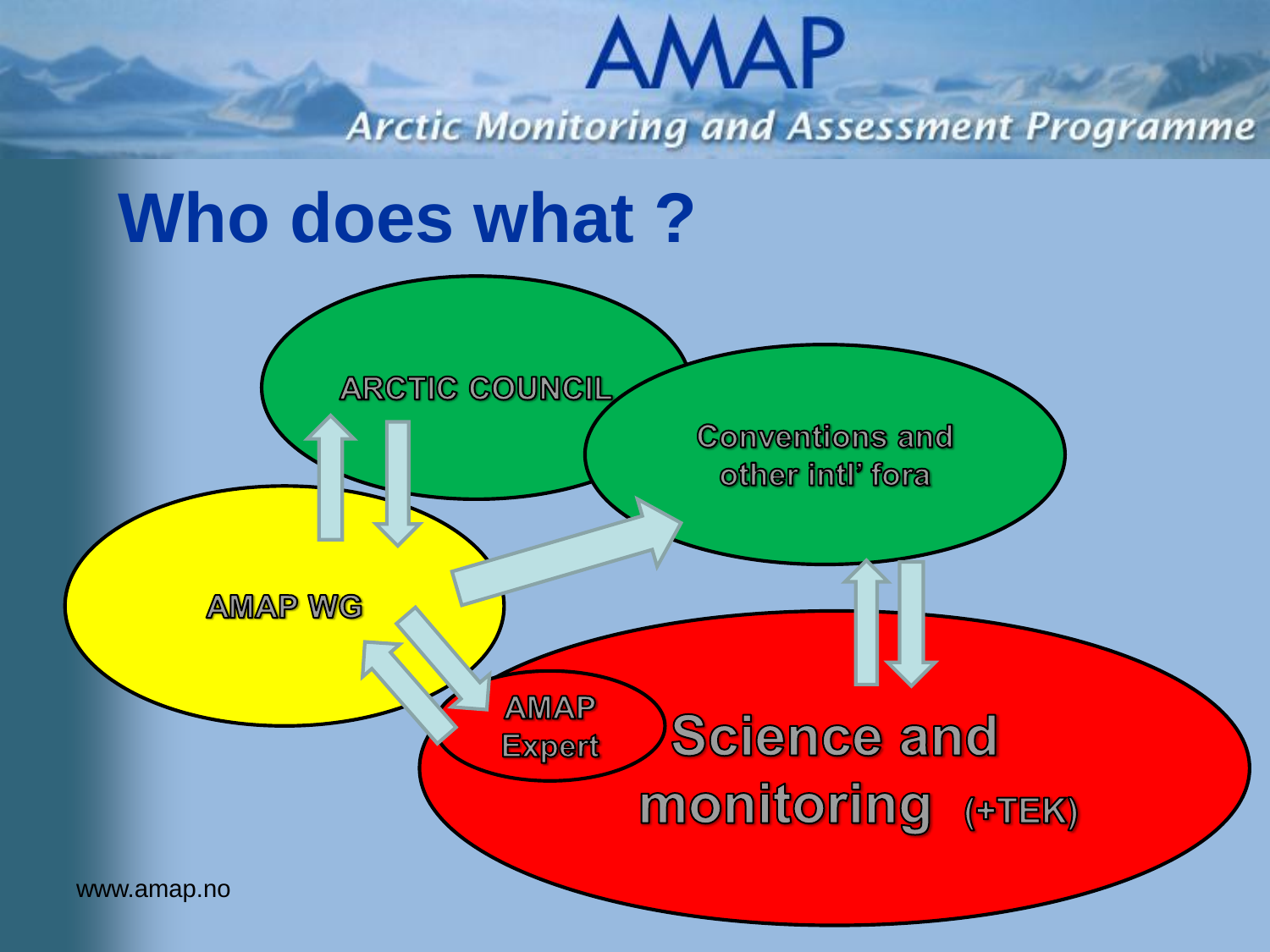### **AMAP Arctic Monitoring and Assessment Programme Who does what ? ARCTIC COUNCIL Conventions and** other intl' fora **AMAP WG AMAP Science and Expert MONITORING (+TEK)** www.amap.no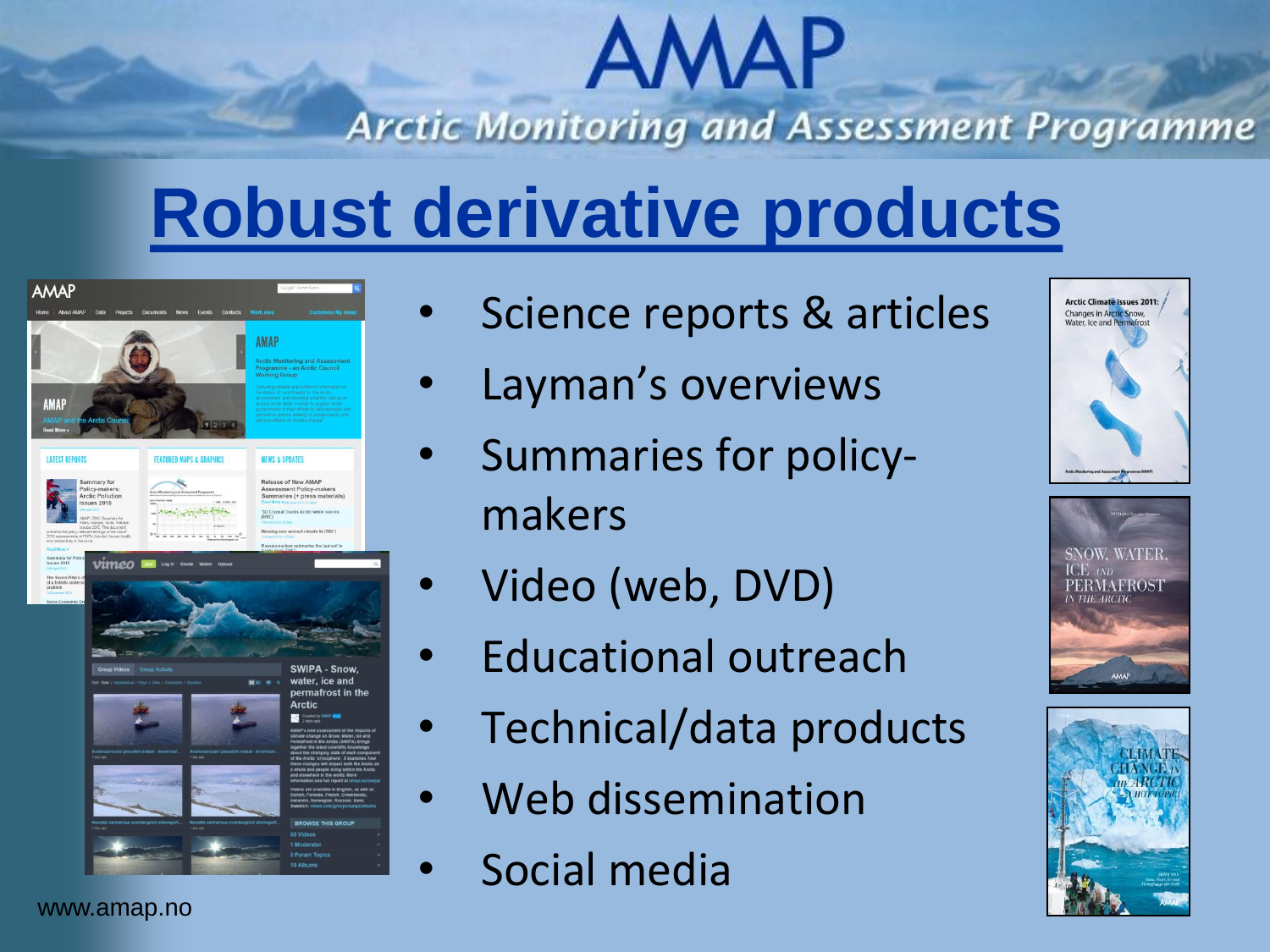### **AMAP Arctic Monitoring and Assessment Programme**

### **Robust derivative products**



- Science reports & articles
- Layman's overviews
- Summaries for policymakers
- Video (web, DVD)
- Educational outreach
- Technical/data products
- Web dissemination
- Social media





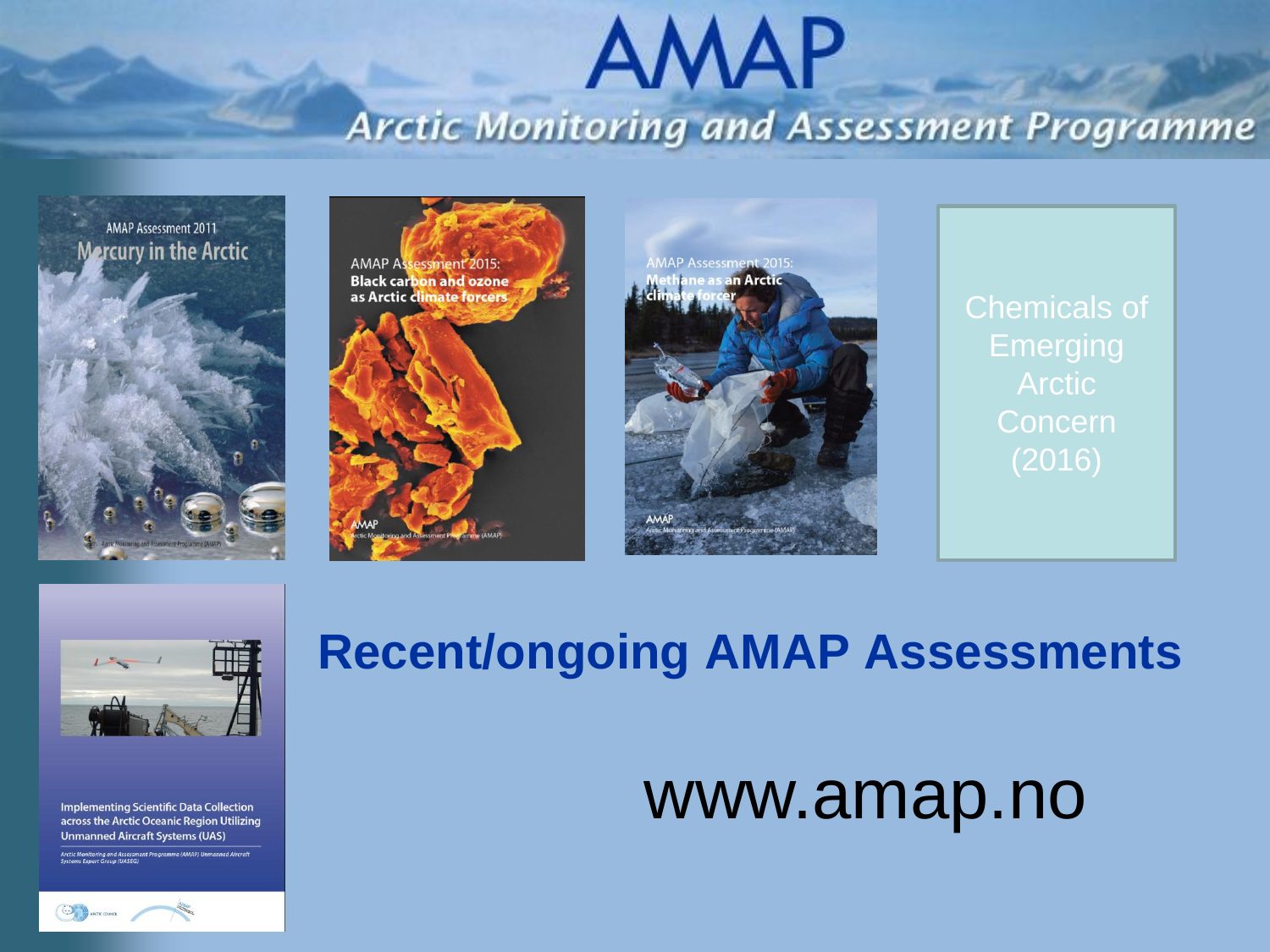#### **AMAP Arctic Monitoring and Assessment Programme**









Chemicals of **Emerging Concern** 



**Implementing Scientific Data Collection** across the Arctic Oceanic Region Utilizing **Unmanned Aircraft Systems (UAS)** 

Arctic Monitoring and Assessment Programme (AMAP) Unmanned Aircraf



#### **Recent/ongoing AMAP Assessments**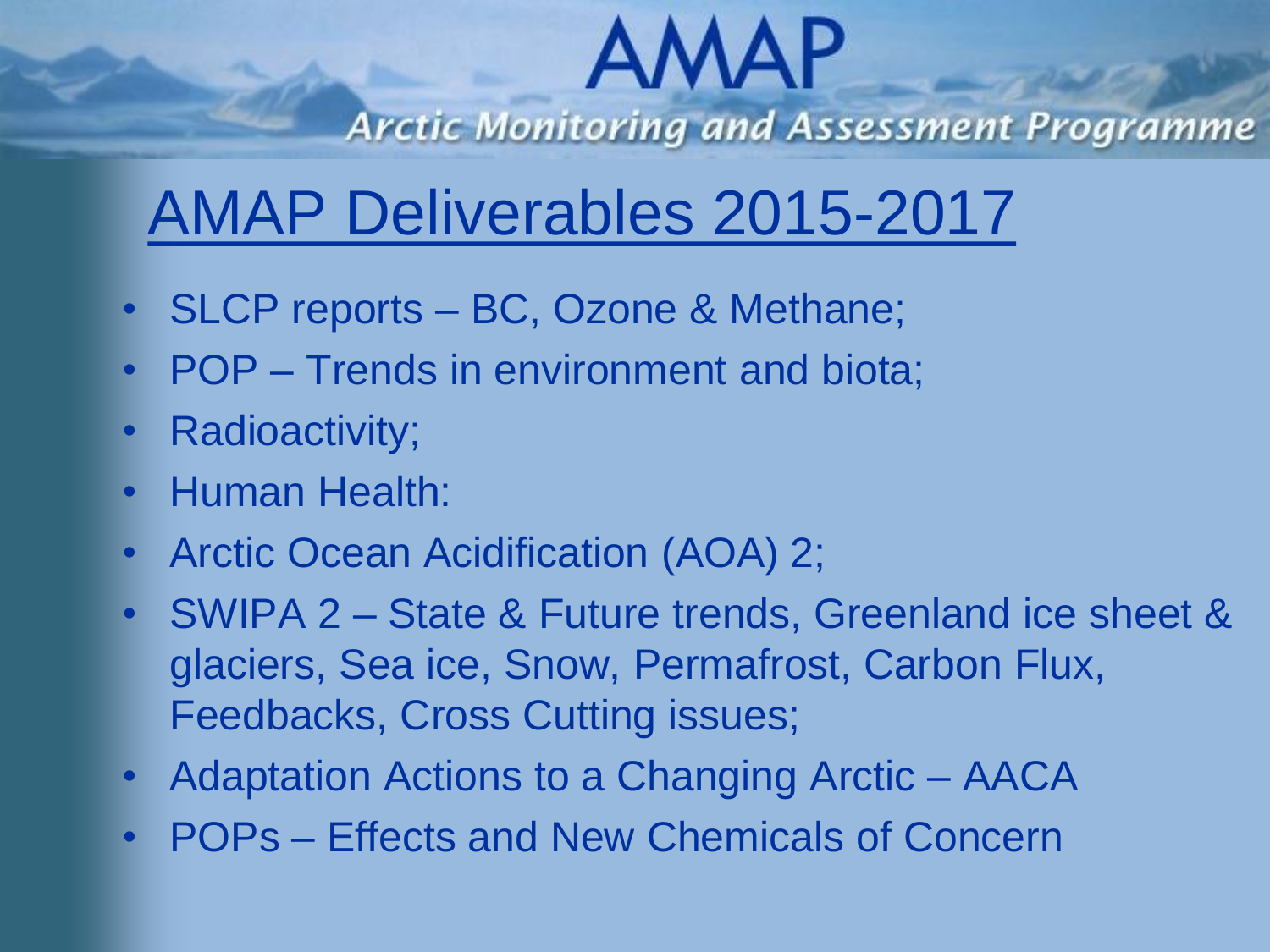**Arctic Monitoring and Assessment Programme** 

#### AMAP Deliverables 2015-2017

- SLCP reports BC, Ozone & Methane;
- POP Trends in environment and biota;
- Radioactivity;
- Human Health:
- Arctic Ocean Acidification (AOA) 2;
- SWIPA 2 State & Future trends, Greenland ice sheet & glaciers, Sea ice, Snow, Permafrost, Carbon Flux, Feedbacks, Cross Cutting issues;
- Adaptation Actions to a Changing Arctic AACA
- POPs Effects and New Chemicals of Concern